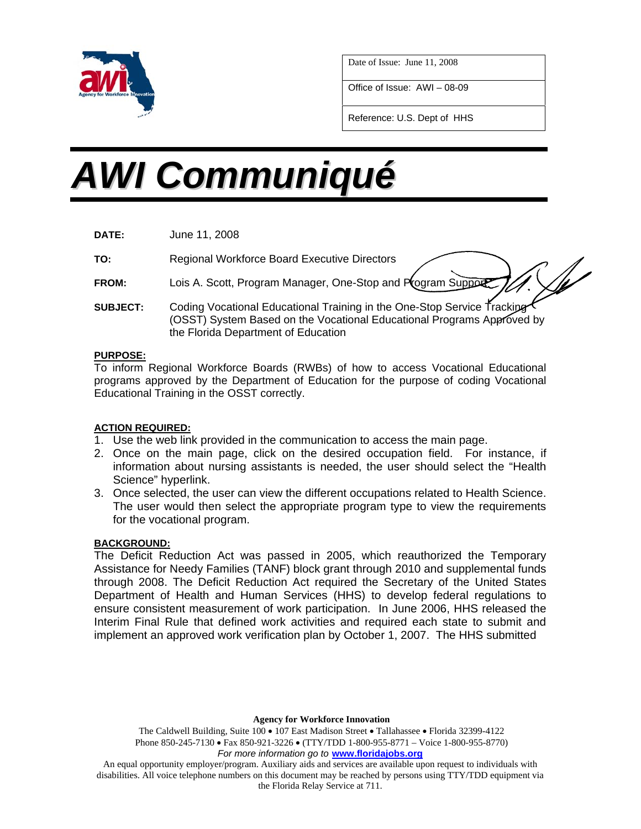

Date of Issue: June 11, 2008

Office of Issue: AWI – 08-09

Reference: U.S. Dept of HHS

# *AWI Communiqué*

**DATE:** June 11, 2008

**TO:** Regional Workforce Board Executive Directors

- **FROM:** Lois A. Scott, Program Manager, One-Stop and Program Support
- **SUBJECT:** Coding Vocational Educational Training in the One-Stop Service Tracking (OSST) System Based on the Vocational Educational Programs Approved by the Florida Department of Education

#### **PURPOSE:**

To inform Regional Workforce Boards (RWBs) of how to access Vocational Educational programs approved by the Department of Education for the purpose of coding Vocational Educational Training in the OSST correctly.

## **ACTION REQUIRED:**

- 1. Use the web link provided in the communication to access the main page.
- 2. Once on the main page, click on the desired occupation field. For instance, if information about nursing assistants is needed, the user should select the "Health Science" hyperlink.
- 3. Once selected, the user can view the different occupations related to Health Science. The user would then select the appropriate program type to view the requirements for the vocational program.

## **BACKGROUND:**

The Deficit Reduction Act was passed in 2005, which reauthorized the Temporary Assistance for Needy Families (TANF) block grant through 2010 and supplemental funds through 2008. The Deficit Reduction Act required the Secretary of the United States Department of Health and Human Services (HHS) to develop federal regulations to ensure consistent measurement of work participation. In June 2006, HHS released the Interim Final Rule that defined work activities and required each state to submit and implement an approved work verification plan by October 1, 2007. The HHS submitted

**Agency for Workforce Innovation** 

The Caldwell Building, Suite 100 • 107 East Madison Street • Tallahassee • Florida 32399-4122 Phone 850-245-7130 • Fax 850-921-3226 • (TTY/TDD 1-800-955-8771 – Voice 1-800-955-8770) *For more information go to* **www.floridajobs.org**

An equal opportunity employer/program. Auxiliary aids and services are available upon request to individuals with disabilities. All voice telephone numbers on this document may be reached by persons using TTY/TDD equipment via the Florida Relay Service at 711.